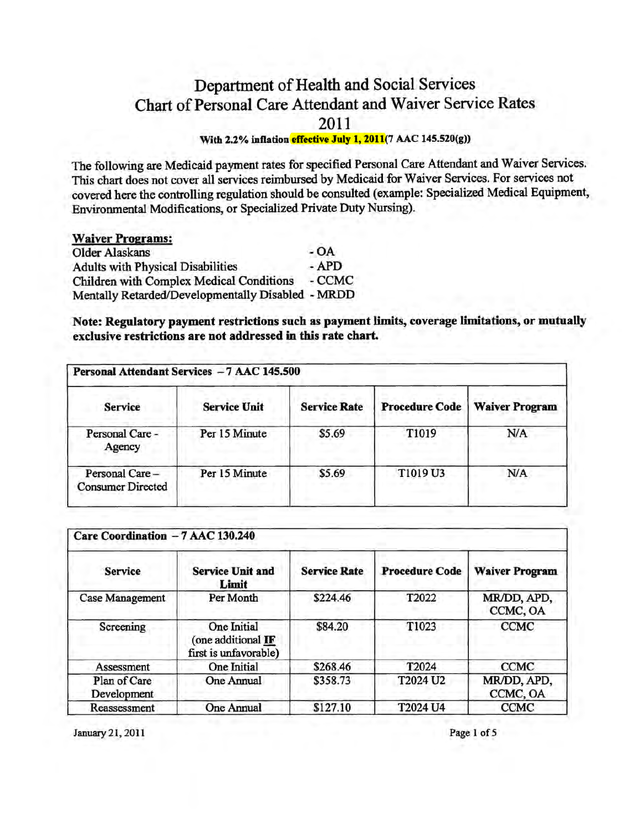# Department of Health and Social Services Chart of Personal Care Attendant and Waiver Service Rates 2011

### With 2.2% inflation effective July 1, 2011(7 AAC 145.520(g))

The following are Medicaid payment rates for specified Personal Care Attendant and Waiver Services. This chart does not cover all services reimbursed by Medicaid for Waiver Services. For services not covered here the controlling regulation should be consulted (example: Specialized Medical Equipment, Environmental Modifications, or Specialized Private Duty Nursing).

# Waiver Programs:

Older Alaskans<br>
Adults with Physical Disabilities - APD Adults with Physical Disabilities Children with Complex Medical Conditions - CCMC Mentally Retarded/Developmentally Disabled - MRDD

Note: Regulatory payment restrictions such as payment limits, coverage limitations, or mutually exclusive restrictions are not addressed in this rate chart.

| Personal Attendant Services - 7 AAC 145.500 |                     |                     |                       |                       |
|---------------------------------------------|---------------------|---------------------|-----------------------|-----------------------|
| <b>Service</b>                              | <b>Service Unit</b> | <b>Service Rate</b> | <b>Procedure Code</b> | <b>Waiver Program</b> |
| Personal Care -<br>Agency                   | Per 15 Minute       | \$5.69              | T1019                 | N/A                   |
| Personal Care-<br><b>Consumer Directed</b>  | Per 15 Minute       | \$5.69              | T1019 U3              | N/A                   |

| Care Coordination - 7 AAC 130.240 |                                                            |                     |                       |                         |  |
|-----------------------------------|------------------------------------------------------------|---------------------|-----------------------|-------------------------|--|
| <b>Service</b>                    | <b>Service Unit and</b><br>Limit                           | <b>Service Rate</b> | <b>Procedure Code</b> | <b>Waiver Program</b>   |  |
| <b>Case Management</b>            | Per Month                                                  | \$224.46            | T2022                 | MR/DD, APD,<br>CCMC, OA |  |
| Screening                         | One Initial<br>(one additional IF<br>first is unfavorable) | \$84.20             | T1023                 | <b>CCMC</b>             |  |
| Assessment                        | One Initial                                                | \$268.46            | T2024                 | <b>CCMC</b>             |  |
| Plan of Care<br>Development       | One Annual                                                 | \$358.73            | T2024 U2              | MR/DD, APD,<br>CCMC, OA |  |
| Reassessment                      | One Annual                                                 | \$127.10            | T2024 U4              | <b>CCMC</b>             |  |

January 21, 2011 Page 1 of 5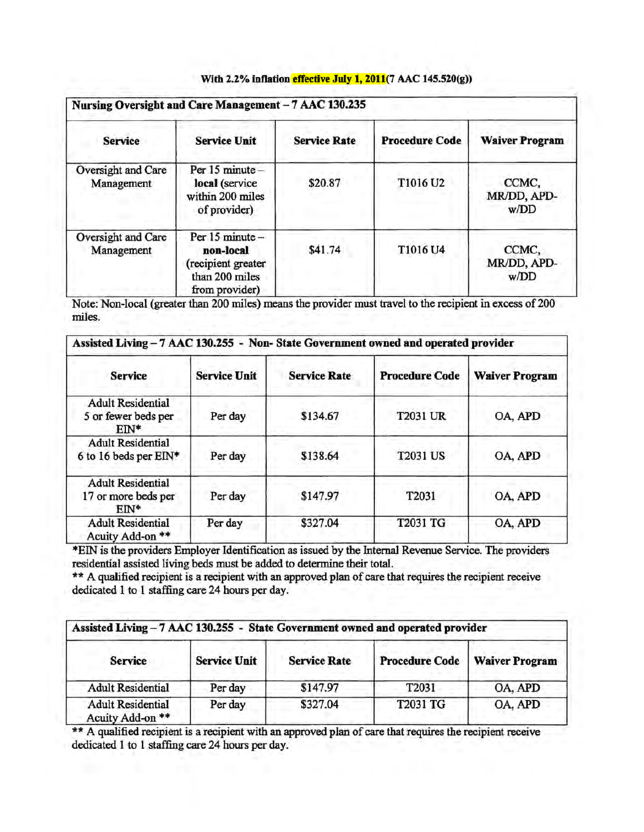| Nursing Oversight and Care Management - 7 AAC 130.235 |                                                                                        |                     |                       |                              |
|-------------------------------------------------------|----------------------------------------------------------------------------------------|---------------------|-----------------------|------------------------------|
| <b>Service</b>                                        | <b>Service Unit</b>                                                                    | <b>Service Rate</b> | <b>Procedure Code</b> | <b>Waiver Program</b>        |
| Oversight and Care<br>Management                      | Per 15 minute -<br>local (service<br>within 200 miles<br>of provider)                  | \$20.87             | T1016 U2              | CCMC,<br>MR/DD, APD-<br>w/DD |
| Oversight and Care<br>Management                      | Per 15 minute -<br>non-local<br>(recipient greater<br>than 200 miles<br>from provider) | \$41.74             | T1016 U4              | CCMC,<br>MR/DD, APD-<br>w/DD |

## With 2.2% inflation effective July 1, 2011(7 AAC 145.520(g))

Note: Non-local (greater than 200 miles) means the provider must travel to the recipient in excess of 200 miles.

| Assisted Living - 7 AAC 130.255 - Non-State Government owned and operated provider |                     |                     |                       |                       |
|------------------------------------------------------------------------------------|---------------------|---------------------|-----------------------|-----------------------|
| <b>Service</b>                                                                     | <b>Service Unit</b> | <b>Service Rate</b> | <b>Procedure Code</b> | <b>Waiver Program</b> |
| <b>Adult Residential</b><br>5 or fewer beds per<br>$FIN*$                          | Per day             | \$134.67            | <b>T2031 UR</b>       | OA, APD               |
| <b>Adult Residential</b><br>6 to 16 beds per EIN*                                  | Per day             | \$138.64            | <b>T2031 US</b>       | OA, APD               |
| <b>Adult Residential</b><br>17 or more beds per<br>$EN^*$                          | Per day             | \$147.97            | T2031                 | OA, APD               |
| <b>Adult Residential</b><br>Acuity Add-on **                                       | Per day             | \$327.04            | T2031 TG              | OA, APD               |

\*EIN is the provtders Employer Identtficatton as Issued by the Internal Revenue Service. The providers residential assisted living beds must be added to determine their total.

\*\* A qualified recipient is a recipient with an approved plan of care that requires the recipient receive dedicated 1 to 1 staffing care 24 hours per day.

| Assisted Living - 7 AAC 130.255 - State Government owned and operated provider |                     |                     |                       |                       |
|--------------------------------------------------------------------------------|---------------------|---------------------|-----------------------|-----------------------|
| <b>Service</b>                                                                 | <b>Service Unit</b> | <b>Service Rate</b> | <b>Procedure Code</b> | <b>Waiver Program</b> |
| <b>Adult Residential</b>                                                       | Per day             | \$147.97            | T2031                 | OA, APD               |
| <b>Adult Residential</b><br>Acuity Add-on **                                   | Per day             | \$327.04            | T2031 TG              | OA, APD               |

\*\* A qualified recipient is a recipient with an approved plan of care that requires the recipient receive dedicated 1 to 1 staffing care 24 hours per day.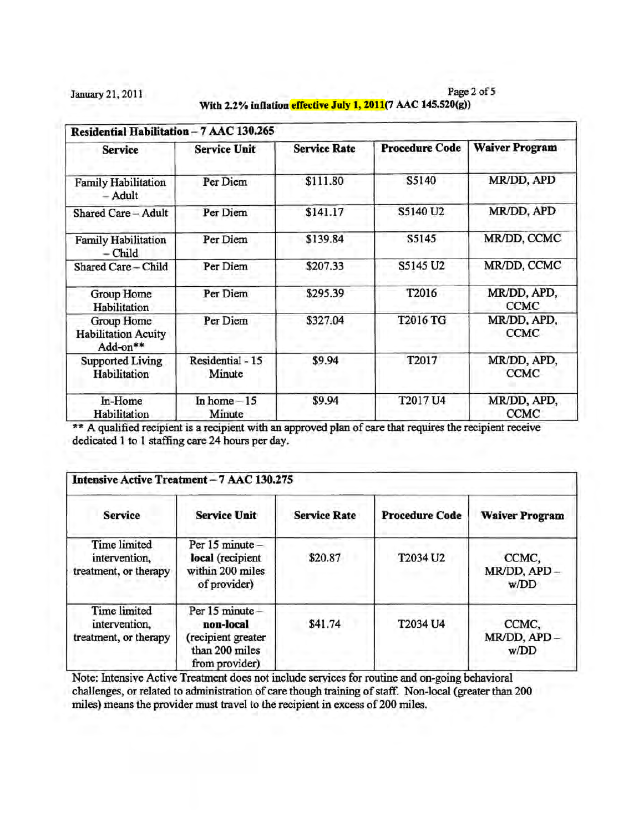January 21, 2011 Page 2 of 5 With 2.2% inflation effective July 1, 2011(7 AAC 145.520(g))

| Residential Habilitation - 7 AAC 130.265             |                            |                     |                       |                            |  |
|------------------------------------------------------|----------------------------|---------------------|-----------------------|----------------------------|--|
| <b>Service</b>                                       | <b>Service Unit</b>        | <b>Service Rate</b> | <b>Procedure Code</b> | <b>Waiver Program</b>      |  |
| <b>Family Habilitation</b><br>Adult                  | Per Diem                   | \$111.80            | S5140                 | MR/DD, APD                 |  |
| Shared Care - Adult                                  | Per Diem                   | \$141.17            | S5140 U2              | MR/DD, APD                 |  |
| <b>Family Habilitation</b><br>– Child                | Per Diem                   | \$139.84            | S5145                 | MR/DD, CCMC                |  |
| Shared Care - Child                                  | Per Diem                   | \$207.33            | S5145 U2              | MR/DD, CCMC                |  |
| Group Home<br>Habilitation                           | Per Diem                   | \$295.39            | T2016                 | MR/DD, APD,<br><b>CCMC</b> |  |
| Group Home<br><b>Habilitation Acuity</b><br>Add-on** | Per Diem                   | \$327.04            | T2016 TG              | MR/DD, APD,<br><b>CCMC</b> |  |
| <b>Supported Living</b><br>Habilitation              | Residential - 15<br>Minute | \$9.94              | T2017                 | MR/DD, APD,<br><b>CCMC</b> |  |
| In-Home<br>Habilitation                              | In home $-15$<br>Minute    | \$9.94              | T2017 U4              | MR/DD, APD,<br><b>CCMC</b> |  |

\*\* A qualified recipient is a recipient with an approved plan of care that requires the recipient receive dedicated 1 to 1 staffing care 24 hours per day.

| Intensive Active Treatment - 7 AAC 130.275                    |                                                                                        |                     |                       |                              |  |
|---------------------------------------------------------------|----------------------------------------------------------------------------------------|---------------------|-----------------------|------------------------------|--|
| <b>Service</b>                                                | <b>Service Unit</b>                                                                    | <b>Service Rate</b> | <b>Procedure Code</b> | <b>Waiver Program</b>        |  |
| <b>Time limited</b><br>intervention,<br>treatment, or therapy | Per 15 minute -<br>local (recipient<br>within 200 miles<br>of provider)                | \$20.87             | T2034 U2              | CCMC,<br>MR/DD, APD-<br>w/DD |  |
| Time limited<br>intervention,<br>treatment, or therapy        | Per 15 minute -<br>non-local<br>(recipient greater<br>than 200 miles<br>from provider) | \$41.74             | T2034 U4              | CCMC,<br>MR/DD, APD-<br>w/DD |  |

Note: Intensive Active Treatment does not include services for routine and on-going behavioral challenges, or related to administration of care though training of staff. Non-local (greater than 200 miles) means the provider must travel to the recipient in excess of 200 miles.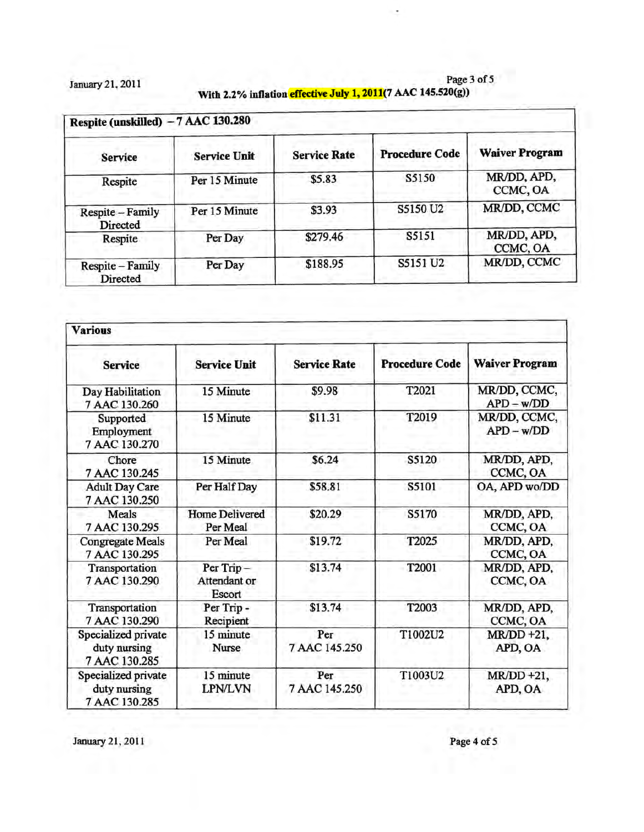January 21, 2011 Page 3 of 5 With 2.2% inflation effective July 1, 2011(7 AAC 145.520(g))

| Respite (unskilled) - 7 AAC 130.280 |                     |                     |                       |                         |
|-------------------------------------|---------------------|---------------------|-----------------------|-------------------------|
| <b>Service</b>                      | <b>Service Unit</b> | <b>Service Rate</b> | <b>Procedure Code</b> | <b>Waiver Program</b>   |
| Respite                             | Per 15 Minute       | \$5.83              | S5150                 | MR/DD, APD,<br>CCMC, OA |
| Respite - Family<br>Directed        | Per 15 Minute       | \$3.93              | S5150 U2              | MR/DD, CCMC             |
| Respite                             | Per Day             | \$279.46            | S5151                 | MR/DD, APD,<br>CCMC, OA |
| Respite - Family<br>Directed        | Per Day             | \$188.95            | S5151 U2              | MR/DD, CCMC             |

| <b>Various</b>                                       |                                     |                      |                       |                              |
|------------------------------------------------------|-------------------------------------|----------------------|-----------------------|------------------------------|
| <b>Service</b>                                       | <b>Service Unit</b>                 | <b>Service Rate</b>  | <b>Procedure Code</b> | <b>Waiver Program</b>        |
| Day Habilitation<br>7 AAC 130.260                    | 15 Minute                           | \$9.98               | T2021                 | MR/DD, CCMC,<br>$APD - w/DD$ |
| Supported<br>Employment<br>7 AAC 130.270             | 15 Minute                           | \$11.31              | T2019                 | MR/DD, CCMC,<br>$APD - w/DD$ |
| Chore<br>7 AAC 130.245                               | 15 Minute                           | \$6.24               | S5120                 | MR/DD, APD,<br>CCMC, OA      |
| <b>Adult Day Care</b><br>7 AAC 130.250               | Per Half Day                        | \$58.81              | S5101                 | OA, APD wo/DD                |
| Meals<br>7 AAC 130.295                               | <b>Home Delivered</b><br>Per Meal   | \$20.29              | S5170                 | MR/DD, APD,<br>CCMC, OA      |
| <b>Congregate Meals</b><br>7 AAC 130.295             | Per Meal                            | \$19.72              | T2025                 | MR/DD, APD,<br>CCMC, OA      |
| Transportation<br>7 AAC 130.290                      | Per Trip-<br>Attendant or<br>Escort | \$13.74              | T2001                 | MR/DD, APD,<br>CCMC, OA      |
| Transportation<br>7 AAC 130.290                      | Per Trip -<br>Recipient             | \$13.74              | T2003                 | MR/DD, APD,<br>CCMC, OA      |
| Specialized private<br>duty nursing<br>7 AAC 130.285 | 15 minute<br>Nurse                  | Per<br>7 AAC 145.250 | T1002U2               | $MR/DD + 21$ ,<br>APD, OA    |
| Specialized private<br>duty nursing<br>7 AAC 130.285 | 15 minute<br><b>LPN/LVN</b>         | Per<br>7 AAC 145.250 | T1003U2               | $MR/DD + 21$ ,<br>APD, OA    |

January 21, 2011 Page 4 of 5